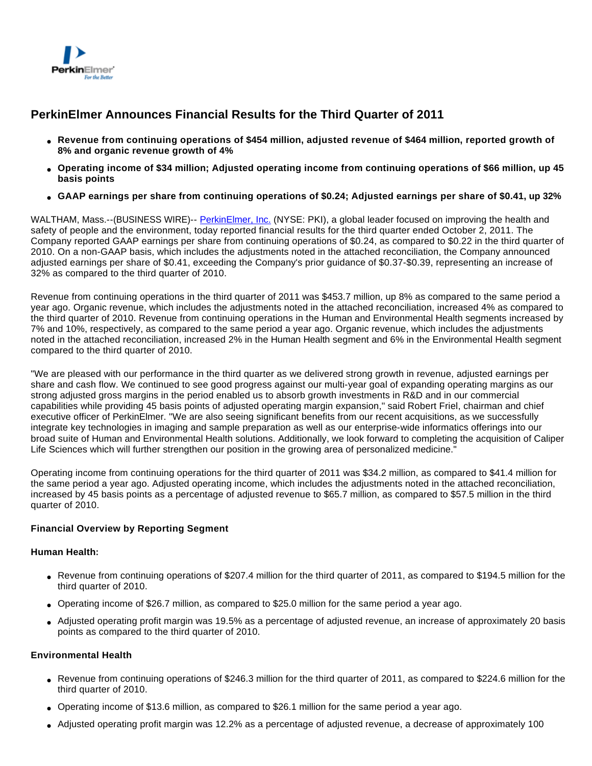

# **PerkinElmer Announces Financial Results for the Third Quarter of 2011**

- **Revenue from continuing operations of \$454 million, adjusted revenue of \$464 million, reported growth of 8% and organic revenue growth of 4%**
- **Operating income of \$34 million; Adjusted operating income from continuing operations of \$66 million, up 45 basis points**
- **GAAP earnings per share from continuing operations of \$0.24; Adjusted earnings per share of \$0.41, up 32%**

WALTHAM, Mass.--(BUSINESS WIRE)-- [PerkinElmer, Inc.](http://cts.businesswire.com/ct/CT?id=smartlink&url=http%3A%2F%2Fwww.perkinelmer.com&esheet=50056182&lan=en-US&anchor=PerkinElmer%2C+Inc.&index=1&md5=8707bdd6e93a0ebb993dc3aba099b6f8) (NYSE: PKI), a global leader focused on improving the health and safety of people and the environment, today reported financial results for the third quarter ended October 2, 2011. The Company reported GAAP earnings per share from continuing operations of \$0.24, as compared to \$0.22 in the third quarter of 2010. On a non-GAAP basis, which includes the adjustments noted in the attached reconciliation, the Company announced adjusted earnings per share of \$0.41, exceeding the Company's prior guidance of \$0.37-\$0.39, representing an increase of 32% as compared to the third quarter of 2010.

Revenue from continuing operations in the third quarter of 2011 was \$453.7 million, up 8% as compared to the same period a year ago. Organic revenue, which includes the adjustments noted in the attached reconciliation, increased 4% as compared to the third quarter of 2010. Revenue from continuing operations in the Human and Environmental Health segments increased by 7% and 10%, respectively, as compared to the same period a year ago. Organic revenue, which includes the adjustments noted in the attached reconciliation, increased 2% in the Human Health segment and 6% in the Environmental Health segment compared to the third quarter of 2010.

"We are pleased with our performance in the third quarter as we delivered strong growth in revenue, adjusted earnings per share and cash flow. We continued to see good progress against our multi-year goal of expanding operating margins as our strong adjusted gross margins in the period enabled us to absorb growth investments in R&D and in our commercial capabilities while providing 45 basis points of adjusted operating margin expansion," said Robert Friel, chairman and chief executive officer of PerkinElmer. "We are also seeing significant benefits from our recent acquisitions, as we successfully integrate key technologies in imaging and sample preparation as well as our enterprise-wide informatics offerings into our broad suite of Human and Environmental Health solutions. Additionally, we look forward to completing the acquisition of Caliper Life Sciences which will further strengthen our position in the growing area of personalized medicine."

Operating income from continuing operations for the third quarter of 2011 was \$34.2 million, as compared to \$41.4 million for the same period a year ago. Adjusted operating income, which includes the adjustments noted in the attached reconciliation, increased by 45 basis points as a percentage of adjusted revenue to \$65.7 million, as compared to \$57.5 million in the third quarter of 2010.

### **Financial Overview by Reporting Segment**

#### **Human Health:**

- Revenue from continuing operations of \$207.4 million for the third quarter of 2011, as compared to \$194.5 million for the third quarter of 2010.
- Operating income of \$26.7 million, as compared to \$25.0 million for the same period a year ago.
- Adjusted operating profit margin was 19.5% as a percentage of adjusted revenue, an increase of approximately 20 basis points as compared to the third quarter of 2010.

### **Environmental Health**

- Revenue from continuing operations of \$246.3 million for the third quarter of 2011, as compared to \$224.6 million for the third quarter of 2010.
- Operating income of \$13.6 million, as compared to \$26.1 million for the same period a year ago.
- Adjusted operating profit margin was 12.2% as a percentage of adjusted revenue, a decrease of approximately 100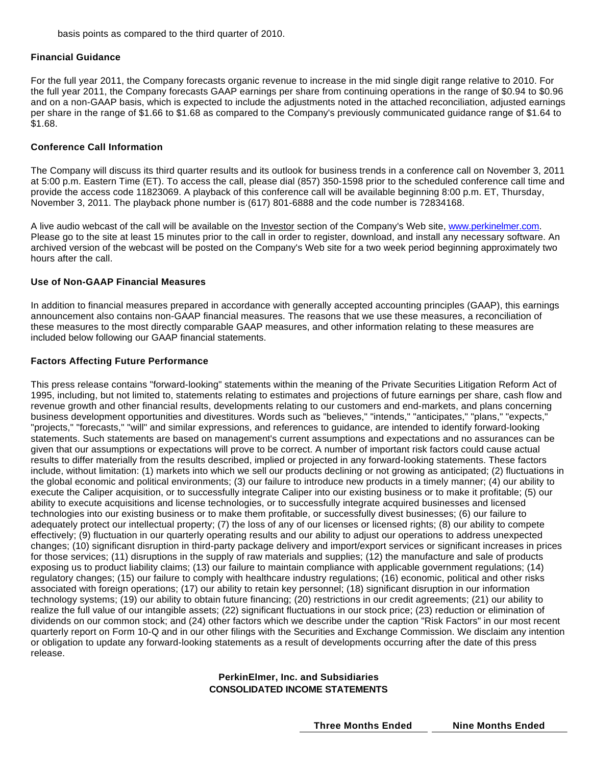basis points as compared to the third quarter of 2010.

#### **Financial Guidance**

For the full year 2011, the Company forecasts organic revenue to increase in the mid single digit range relative to 2010. For the full year 2011, the Company forecasts GAAP earnings per share from continuing operations in the range of \$0.94 to \$0.96 and on a non-GAAP basis, which is expected to include the adjustments noted in the attached reconciliation, adjusted earnings per share in the range of \$1.66 to \$1.68 as compared to the Company's previously communicated guidance range of \$1.64 to \$1.68.

### **Conference Call Information**

The Company will discuss its third quarter results and its outlook for business trends in a conference call on November 3, 2011 at 5:00 p.m. Eastern Time (ET). To access the call, please dial (857) 350-1598 prior to the scheduled conference call time and provide the access code 11823069. A playback of this conference call will be available beginning 8:00 p.m. ET, Thursday, November 3, 2011. The playback phone number is (617) 801-6888 and the code number is 72834168.

A live audio webcast of the call will be available on the *Investor* section of the Company's Web site, [www.perkinelmer.com.](http://cts.businesswire.com/ct/CT?id=smartlink&url=http%3A%2F%2Fwww.perkinelmer.com&esheet=50056182&lan=en-US&anchor=www.perkinelmer.com&index=2&md5=4054a3b5e7a0cc12741a06623f72509c) Please go to the site at least 15 minutes prior to the call in order to register, download, and install any necessary software. An archived version of the webcast will be posted on the Company's Web site for a two week period beginning approximately two hours after the call.

### **Use of Non-GAAP Financial Measures**

In addition to financial measures prepared in accordance with generally accepted accounting principles (GAAP), this earnings announcement also contains non-GAAP financial measures. The reasons that we use these measures, a reconciliation of these measures to the most directly comparable GAAP measures, and other information relating to these measures are included below following our GAAP financial statements.

### **Factors Affecting Future Performance**

This press release contains "forward-looking" statements within the meaning of the Private Securities Litigation Reform Act of 1995, including, but not limited to, statements relating to estimates and projections of future earnings per share, cash flow and revenue growth and other financial results, developments relating to our customers and end-markets, and plans concerning business development opportunities and divestitures. Words such as "believes," "intends," "anticipates," "plans," "expects," "projects," "forecasts," "will" and similar expressions, and references to guidance, are intended to identify forward-looking statements. Such statements are based on management's current assumptions and expectations and no assurances can be given that our assumptions or expectations will prove to be correct. A number of important risk factors could cause actual results to differ materially from the results described, implied or projected in any forward-looking statements. These factors include, without limitation: (1) markets into which we sell our products declining or not growing as anticipated; (2) fluctuations in the global economic and political environments; (3) our failure to introduce new products in a timely manner; (4) our ability to execute the Caliper acquisition, or to successfully integrate Caliper into our existing business or to make it profitable; (5) our ability to execute acquisitions and license technologies, or to successfully integrate acquired businesses and licensed technologies into our existing business or to make them profitable, or successfully divest businesses; (6) our failure to adequately protect our intellectual property; (7) the loss of any of our licenses or licensed rights; (8) our ability to compete effectively; (9) fluctuation in our quarterly operating results and our ability to adjust our operations to address unexpected changes; (10) significant disruption in third-party package delivery and import/export services or significant increases in prices for those services; (11) disruptions in the supply of raw materials and supplies; (12) the manufacture and sale of products exposing us to product liability claims; (13) our failure to maintain compliance with applicable government regulations; (14) regulatory changes; (15) our failure to comply with healthcare industry regulations; (16) economic, political and other risks associated with foreign operations; (17) our ability to retain key personnel; (18) significant disruption in our information technology systems; (19) our ability to obtain future financing; (20) restrictions in our credit agreements; (21) our ability to realize the full value of our intangible assets; (22) significant fluctuations in our stock price; (23) reduction or elimination of dividends on our common stock; and (24) other factors which we describe under the caption "Risk Factors" in our most recent quarterly report on Form 10-Q and in our other filings with the Securities and Exchange Commission. We disclaim any intention or obligation to update any forward-looking statements as a result of developments occurring after the date of this press release.

### **PerkinElmer, Inc. and Subsidiaries CONSOLIDATED INCOME STATEMENTS**

**Three Months Ended Nine Months Ended**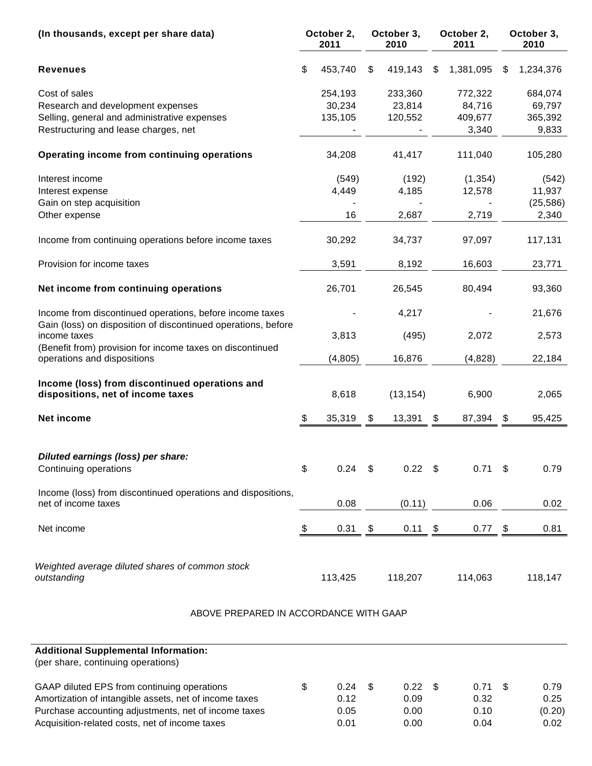| (In thousands, except per share data)                                                                                     |     | October 2,<br>2011 | October 3,<br>2010 |               | October 2,<br>2011 |    | October 3,<br>2010           |
|---------------------------------------------------------------------------------------------------------------------------|-----|--------------------|--------------------|---------------|--------------------|----|------------------------------|
| <b>Revenues</b>                                                                                                           | \$  | 453,740            | \$<br>419,143      | \$            | 1,381,095          | S. | 1,234,376                    |
| Cost of sales<br>Research and development expenses                                                                        |     | 254,193<br>30,234  | 233,360<br>23,814  |               | 772,322<br>84,716  |    | 684,074<br>69,797            |
| Selling, general and administrative expenses<br>Restructuring and lease charges, net                                      |     | 135,105            | 120,552            |               | 409,677<br>3,340   |    | 365,392<br>9,833             |
| Operating income from continuing operations                                                                               |     | 34,208             | 41,417             |               | 111,040            |    | 105,280                      |
| Interest income<br>Interest expense<br>Gain on step acquisition                                                           |     | (549)<br>4,449     | (192)<br>4,185     |               | (1, 354)<br>12,578 |    | (542)<br>11,937<br>(25, 586) |
| Other expense                                                                                                             |     | 16                 | 2,687              |               | 2,719              |    | 2,340                        |
| Income from continuing operations before income taxes                                                                     |     | 30,292             | 34,737             |               | 97,097             |    | 117,131                      |
| Provision for income taxes                                                                                                |     | 3,591              | 8,192              |               | 16,603             |    | 23,771                       |
| Net income from continuing operations                                                                                     |     | 26,701             | 26,545             |               | 80,494             |    | 93,360                       |
| Income from discontinued operations, before income taxes<br>Gain (loss) on disposition of discontinued operations, before |     |                    | 4,217              |               |                    |    | 21,676                       |
| income taxes<br>(Benefit from) provision for income taxes on discontinued<br>operations and dispositions                  |     | 3,813<br>(4,805)   | (495)<br>16,876    |               | 2,072<br>(4,828)   |    | 2,573<br>22,184              |
| Income (loss) from discontinued operations and<br>dispositions, net of income taxes                                       |     | 8,618              | (13, 154)          |               | 6,900              |    | 2,065                        |
| Net income                                                                                                                | \$  | 35,319             | \$<br>13,391       | \$            | 87,394             | \$ | 95,425                       |
| Diluted earnings (loss) per share:<br>Continuing operations                                                               | \$  | 0.24               | \$<br>0.22         | $\frac{1}{2}$ | 0.71               | \$ | 0.79                         |
| Income (loss) from discontinued operations and dispositions,<br>net of income taxes                                       |     | 0.08               | (0.11)             |               | 0.06               |    | 0.02                         |
| Net income                                                                                                                | \$. | 0.31               | \$<br>0.11         | \$            | 0.77               | \$ | 0.81                         |
| Weighted average diluted shares of common stock<br>outstanding                                                            |     | 113,425            | 118,207            |               | 114,063            |    | 118,147                      |

# ABOVE PREPARED IN ACCORDANCE WITH GAAP

| <b>Additional Supplemental Information:</b><br>(per share, continuing operations) |            |      |      |      |        |
|-----------------------------------------------------------------------------------|------------|------|------|------|--------|
| GAAP diluted EPS from continuing operations                                       | \$<br>0.24 | 0.22 | - \$ |      | 0.79   |
| Amortization of intangible assets, net of income taxes                            | 0.12       | 0.09 |      | 0.32 | 0.25   |
| Purchase accounting adjustments, net of income taxes                              | 0.05       | 0.00 |      | 0.10 | (0.20) |
| Acquisition-related costs, net of income taxes                                    | 0.01       | 0.00 |      | 0.04 | 0.02   |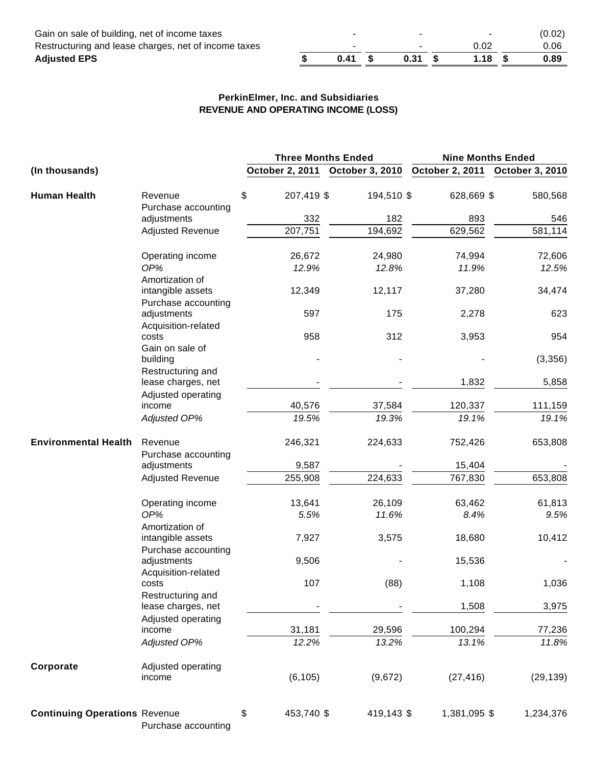| <b>Adiusted EPS</b>                                  |  |
|------------------------------------------------------|--|
| Restructuring and lease charges, net of income taxes |  |
| Gain on sale of building, net of income taxes        |  |

| Gain on sale of building, net of income taxes        |      |        |                   | (0.02) |
|------------------------------------------------------|------|--------|-------------------|--------|
| Restructuring and lease charges, net of income taxes |      |        | 0.02              | 0.06   |
| <b>Adjusted EPS</b>                                  | 0.41 | 0.31 S | 1.18 <sup>5</sup> | 0.89   |

# **PerkinElmer, Inc. and Subsidiaries REVENUE AND OPERATING INCOME (LOSS)**

|                                      |                                          |                  | <b>Three Months Ended</b> | <b>Nine Months Ended</b> |                 |  |  |
|--------------------------------------|------------------------------------------|------------------|---------------------------|--------------------------|-----------------|--|--|
| (In thousands)                       |                                          | October 2, 2011  | October 3, 2010           | October 2, 2011          | October 3, 2010 |  |  |
| <b>Human Health</b>                  | Revenue<br>Purchase accounting           | \$<br>207,419 \$ | 194,510 \$                | 628,669 \$               | 580,568         |  |  |
|                                      | adjustments                              | 332              | 182                       | 893                      | 546             |  |  |
|                                      | <b>Adjusted Revenue</b>                  | 207,751          | 194,692                   | 629,562                  | 581,114         |  |  |
|                                      | Operating income                         | 26,672           | 24,980                    | 74,994                   | 72,606          |  |  |
|                                      | OP%<br>Amortization of                   | 12.9%            | 12.8%                     | 11.9%                    | 12.5%           |  |  |
|                                      | intangible assets<br>Purchase accounting | 12,349           | 12,117                    | 37,280                   | 34,474          |  |  |
|                                      | adjustments<br>Acquisition-related       | 597              | 175                       | 2,278                    | 623             |  |  |
|                                      | costs<br>Gain on sale of                 | 958              | 312                       | 3,953                    | 954             |  |  |
|                                      | building<br>Restructuring and            |                  |                           |                          | (3,356)         |  |  |
|                                      | lease charges, net                       |                  |                           | 1,832                    | 5,858           |  |  |
|                                      | Adjusted operating<br>income             | 40,576           | 37,584                    | 120,337                  | 111,159         |  |  |
|                                      | Adjusted OP%                             | 19.5%            | 19.3%                     | 19.1%                    | 19.1%           |  |  |
| <b>Environmental Health</b>          | Revenue<br>Purchase accounting           | 246,321          | 224,633                   | 752,426                  | 653,808         |  |  |
|                                      | adjustments                              | 9,587            |                           | 15,404                   |                 |  |  |
|                                      | <b>Adjusted Revenue</b>                  | 255,908          | 224,633                   | 767,830                  | 653,808         |  |  |
|                                      | Operating income                         | 13,641           | 26,109                    | 63,462                   | 61,813          |  |  |
|                                      | OP%<br>Amortization of                   | 5.5%             | 11.6%                     | 8.4%                     | 9.5%            |  |  |
|                                      | intangible assets<br>Purchase accounting | 7,927            | 3,575                     | 18,680                   | 10,412          |  |  |
|                                      | adjustments<br>Acquisition-related       | 9,506            |                           | 15,536                   |                 |  |  |
|                                      | costs                                    | 107              | (88)                      | 1,108                    | 1,036           |  |  |
|                                      | Restructuring and<br>lease charges, net  |                  |                           | 1,508                    | 3,975           |  |  |
|                                      | Adjusted operating<br>income             | 31,181           | 29,596                    | 100,294                  | 77,236          |  |  |
|                                      | Adjusted OP%                             | 12.2%            | 13.2%                     | 13.1%                    | 11.8%           |  |  |
| Corporate                            | Adjusted operating<br>income             | (6, 105)         | (9,672)                   | (27, 416)                | (29, 139)       |  |  |
| <b>Continuing Operations Revenue</b> | Purchase accounting                      | \$<br>453,740 \$ | 419,143 \$                | 1,381,095 \$             | 1,234,376       |  |  |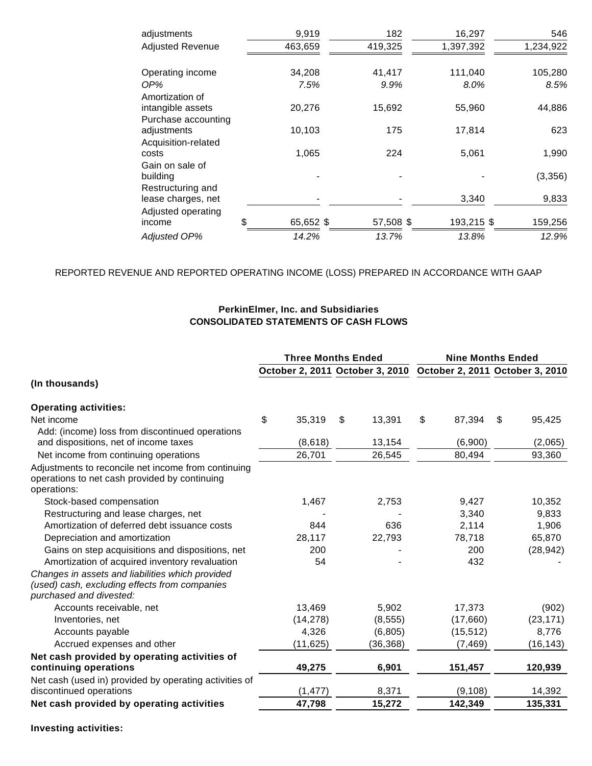| adjustments                 | 9,919           | 182       | 16,297     | 546       |
|-----------------------------|-----------------|-----------|------------|-----------|
| <b>Adjusted Revenue</b>     | 463,659         | 419,325   | 1,397,392  | 1,234,922 |
| Operating income            | 34,208          | 41,417    | 111,040    | 105,280   |
| OP%                         | 7.5%            | 9.9%      | 8.0%       | 8.5%      |
| Amortization of             |                 |           |            |           |
| intangible assets           | 20,276          | 15,692    | 55,960     | 44,886    |
| Purchase accounting         |                 |           |            |           |
| adjustments                 | 10,103          | 175       | 17,814     | 623       |
| Acquisition-related         |                 |           |            |           |
| costs                       | 1,065           | 224       | 5,061      | 1,990     |
| Gain on sale of<br>building |                 |           |            | (3,356)   |
| Restructuring and           |                 |           |            |           |
| lease charges, net          |                 |           | 3,340      | 9,833     |
| Adjusted operating          |                 |           |            |           |
| income                      | 65,652 \$<br>\$ | 57,508 \$ | 193,215 \$ | 159,256   |
| <b>Adjusted OP%</b>         | 14.2%           | 13.7%     | 13.8%      | 12.9%     |

REPORTED REVENUE AND REPORTED OPERATING INCOME (LOSS) PREPARED IN ACCORDANCE WITH GAAP

### **PerkinElmer, Inc. and Subsidiaries CONSOLIDATED STATEMENTS OF CASH FLOWS**

|                                                                                                                              |              | <b>Three Months Ended</b>       | <b>Nine Months Ended</b>        |              |  |
|------------------------------------------------------------------------------------------------------------------------------|--------------|---------------------------------|---------------------------------|--------------|--|
|                                                                                                                              |              | October 2, 2011 October 3, 2010 | October 2, 2011 October 3, 2010 |              |  |
| (In thousands)                                                                                                               |              |                                 |                                 |              |  |
| <b>Operating activities:</b>                                                                                                 |              |                                 |                                 |              |  |
| Net income                                                                                                                   | \$<br>35,319 | \$<br>13,391                    | \$<br>87,394                    | \$<br>95,425 |  |
| Add: (income) loss from discontinued operations                                                                              |              |                                 |                                 |              |  |
| and dispositions, net of income taxes                                                                                        | (8,618)      | 13,154                          | (6,900)                         | (2,065)      |  |
| Net income from continuing operations                                                                                        | 26,701       | 26,545                          | 80,494                          | 93,360       |  |
| Adjustments to reconcile net income from continuing<br>operations to net cash provided by continuing<br>operations:          |              |                                 |                                 |              |  |
| Stock-based compensation                                                                                                     | 1,467        | 2,753                           | 9,427                           | 10,352       |  |
| Restructuring and lease charges, net                                                                                         |              |                                 | 3,340                           | 9,833        |  |
| Amortization of deferred debt issuance costs                                                                                 | 844          | 636                             | 2,114                           | 1,906        |  |
| Depreciation and amortization                                                                                                | 28,117       | 22,793                          | 78,718                          | 65,870       |  |
| Gains on step acquisitions and dispositions, net                                                                             | 200          |                                 | 200                             | (28, 942)    |  |
| Amortization of acquired inventory revaluation                                                                               | 54           |                                 | 432                             |              |  |
| Changes in assets and liabilities which provided<br>(used) cash, excluding effects from companies<br>purchased and divested: |              |                                 |                                 |              |  |
| Accounts receivable, net                                                                                                     | 13,469       | 5,902                           | 17,373                          | (902)        |  |
| Inventories, net                                                                                                             | (14, 278)    | (8, 555)                        | (17,660)                        | (23, 171)    |  |
| Accounts payable                                                                                                             | 4,326        | (6, 805)                        | (15, 512)                       | 8,776        |  |
| Accrued expenses and other                                                                                                   | (11, 625)    | (36, 368)                       | (7, 469)                        | (16, 143)    |  |
| Net cash provided by operating activities of<br>continuing operations                                                        | 49,275       | 6,901                           | 151,457                         | 120,939      |  |
| Net cash (used in) provided by operating activities of                                                                       |              |                                 |                                 |              |  |
| discontinued operations                                                                                                      | (1, 477)     | 8,371                           | (9, 108)                        | 14,392       |  |
| Net cash provided by operating activities                                                                                    | 47,798       | 15,272                          | 142,349                         | 135,331      |  |

**Investing activities:**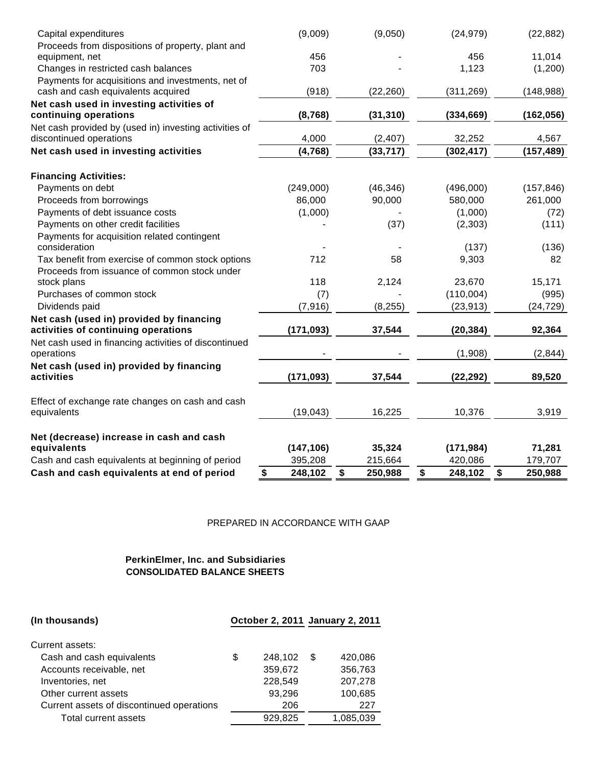| Capital expenditures                                                                     | (9,009)       | (9,050)       | (24, 979)     | (22, 882)     |
|------------------------------------------------------------------------------------------|---------------|---------------|---------------|---------------|
| Proceeds from dispositions of property, plant and                                        |               |               |               |               |
| equipment, net                                                                           | 456           |               | 456           | 11,014        |
| Changes in restricted cash balances<br>Payments for acquisitions and investments, net of | 703           |               | 1,123         | (1,200)       |
| cash and cash equivalents acquired                                                       | (918)         | (22, 260)     | (311, 269)    | (148, 988)    |
| Net cash used in investing activities of                                                 |               |               |               |               |
| continuing operations                                                                    | (8, 768)      | (31, 310)     | (334, 669)    | (162, 056)    |
| Net cash provided by (used in) investing activities of                                   | 4,000         |               |               |               |
| discontinued operations                                                                  |               | (2, 407)      | 32,252        | 4,567         |
| Net cash used in investing activities                                                    | (4, 768)      | (33, 717)     | (302, 417)    | (157, 489)    |
| <b>Financing Activities:</b>                                                             |               |               |               |               |
| Payments on debt                                                                         | (249,000)     | (46, 346)     | (496,000)     | (157, 846)    |
| Proceeds from borrowings                                                                 | 86,000        | 90,000        | 580,000       | 261,000       |
| Payments of debt issuance costs                                                          | (1,000)       |               | (1,000)       | (72)          |
| Payments on other credit facilities                                                      |               | (37)          | (2, 303)      | (111)         |
| Payments for acquisition related contingent                                              |               |               |               |               |
| consideration                                                                            |               |               | (137)         | (136)         |
| Tax benefit from exercise of common stock options                                        | 712           | 58            | 9,303         | 82            |
| Proceeds from issuance of common stock under                                             |               |               |               |               |
| stock plans                                                                              | 118           | 2,124         | 23,670        | 15,171        |
| Purchases of common stock                                                                | (7)           |               | (110,004)     | (995)         |
| Dividends paid                                                                           | (7, 916)      | (8, 255)      | (23, 913)     | (24, 729)     |
| Net cash (used in) provided by financing                                                 |               |               |               |               |
| activities of continuing operations                                                      | (171, 093)    | 37,544        | (20, 384)     | 92,364        |
| Net cash used in financing activities of discontinued<br>operations                      |               |               | (1,908)       | (2,844)       |
| Net cash (used in) provided by financing                                                 |               |               |               |               |
| activities                                                                               | (171, 093)    | 37,544        | (22, 292)     | 89,520        |
|                                                                                          |               |               |               |               |
| Effect of exchange rate changes on cash and cash<br>equivalents                          | (19, 043)     | 16,225        | 10,376        | 3,919         |
|                                                                                          |               |               |               |               |
| Net (decrease) increase in cash and cash                                                 |               |               |               |               |
| equivalents                                                                              | (147, 106)    | 35,324        | (171, 984)    | 71,281        |
| Cash and cash equivalents at beginning of period                                         | 395,208       | 215,664       | 420,086       | 179,707       |
| Cash and cash equivalents at end of period                                               | \$<br>248,102 | \$<br>250,988 | \$<br>248,102 | \$<br>250,988 |

# PREPARED IN ACCORDANCE WITH GAAP

# **PerkinElmer, Inc. and Subsidiaries CONSOLIDATED BALANCE SHEETS**

| (In thousands)                            | October 2, 2011 January 2, 2011 |         |   |           |
|-------------------------------------------|---------------------------------|---------|---|-----------|
| Current assets:                           |                                 |         |   |           |
|                                           |                                 |         | S |           |
| Cash and cash equivalents                 | \$                              | 248,102 |   | 420,086   |
| Accounts receivable, net                  |                                 | 359,672 |   | 356,763   |
| Inventories, net                          |                                 | 228,549 |   | 207,278   |
| Other current assets                      |                                 | 93,296  |   | 100,685   |
| Current assets of discontinued operations |                                 | 206     |   | 227       |
| Total current assets                      |                                 | 929,825 |   | 1,085,039 |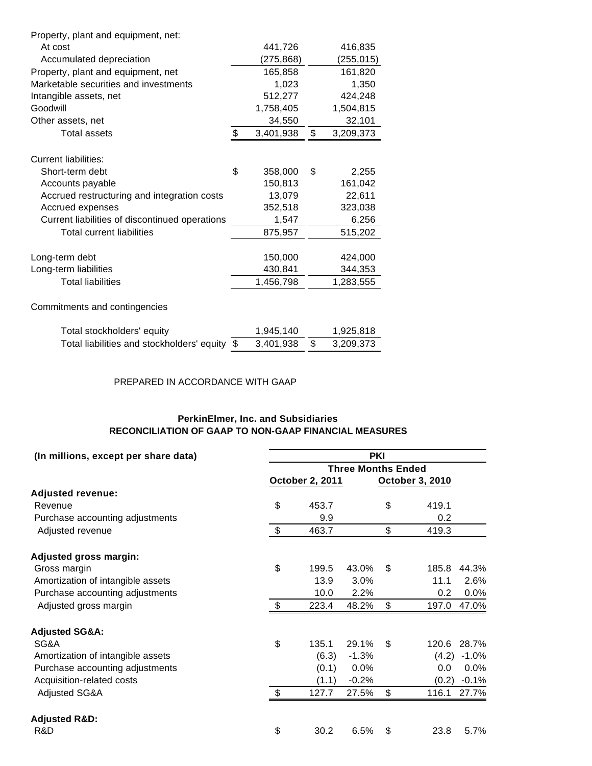| Property, plant and equipment, net:            |                 |                 |
|------------------------------------------------|-----------------|-----------------|
| At cost                                        | 441,726         | 416,835         |
| Accumulated depreciation                       | (275, 868)      | (255,015)       |
| Property, plant and equipment, net             | 165,858         | 161,820         |
| Marketable securities and investments          | 1,023           | 1,350           |
| Intangible assets, net                         | 512,277         | 424,248         |
| Goodwill                                       | 1,758,405       | 1,504,815       |
| Other assets, net                              | 34,550          | 32,101          |
| <b>Total assets</b>                            | \$<br>3,401,938 | \$<br>3,209,373 |
| Current liabilities:                           |                 |                 |
| Short-term debt                                | \$<br>358,000   | \$<br>2,255     |
| Accounts payable                               | 150,813         | 161,042         |
| Accrued restructuring and integration costs    | 13,079          | 22,611          |
| Accrued expenses                               | 352,518         | 323,038         |
| Current liabilities of discontinued operations | 1,547           | 6,256           |
| <b>Total current liabilities</b>               | 875,957         | 515,202         |
|                                                |                 |                 |
| Long-term debt                                 | 150,000         | 424,000         |
| Long-term liabilities                          | 430,841         | 344,353         |
| <b>Total liabilities</b>                       | 1,456,798       | 1,283,555       |
| Commitments and contingencies                  |                 |                 |
| Total stockholders' equity                     | 1,945,140       | 1,925,818       |
| Total liabilities and stockholders' equity \$  | 3,401,938       | \$<br>3,209,373 |

PREPARED IN ACCORDANCE WITH GAAP

# **PerkinElmer, Inc. and Subsidiaries RECONCILIATION OF GAAP TO NON-GAAP FINANCIAL MEASURES**

| (In millions, except per share data) |                | <b>PKI</b>      |                           |    |                 |          |  |  |  |  |  |
|--------------------------------------|----------------|-----------------|---------------------------|----|-----------------|----------|--|--|--|--|--|
|                                      |                |                 | <b>Three Months Ended</b> |    |                 |          |  |  |  |  |  |
|                                      |                | October 2, 2011 |                           |    | October 3, 2010 |          |  |  |  |  |  |
| <b>Adjusted revenue:</b>             |                |                 |                           |    |                 |          |  |  |  |  |  |
| Revenue                              | \$             | 453.7           |                           | \$ | 419.1           |          |  |  |  |  |  |
| Purchase accounting adjustments      |                | 9.9             |                           |    | 0.2             |          |  |  |  |  |  |
| Adjusted revenue                     | $\mathfrak{F}$ | 463.7           |                           | \$ | 419.3           |          |  |  |  |  |  |
| <b>Adjusted gross margin:</b>        |                |                 |                           |    |                 |          |  |  |  |  |  |
| Gross margin                         | \$             | 199.5           | 43.0%                     | \$ | 185.8           | 44.3%    |  |  |  |  |  |
| Amortization of intangible assets    |                | 13.9            | 3.0%                      |    | 11.1            | 2.6%     |  |  |  |  |  |
| Purchase accounting adjustments      |                | 10.0            | 2.2%                      |    | 0.2             | 0.0%     |  |  |  |  |  |
| Adjusted gross margin                | \$             | 223.4           | 48.2%                     | \$ | 197.0           | 47.0%    |  |  |  |  |  |
| <b>Adjusted SG&amp;A:</b>            |                |                 |                           |    |                 |          |  |  |  |  |  |
| SG&A                                 | \$             | 135.1           | 29.1%                     | \$ | 120.6           | 28.7%    |  |  |  |  |  |
| Amortization of intangible assets    |                | (6.3)           | $-1.3%$                   |    | (4.2)           | $-1.0%$  |  |  |  |  |  |
| Purchase accounting adjustments      |                | (0.1)           | $0.0\%$                   |    | 0.0             | 0.0%     |  |  |  |  |  |
| Acquisition-related costs            |                | (1.1)           | $-0.2%$                   |    | (0.2)           | $-0.1\%$ |  |  |  |  |  |
| Adjusted SG&A                        | \$             | 127.7           | 27.5%                     | \$ | 116.1           | 27.7%    |  |  |  |  |  |
| <b>Adjusted R&amp;D:</b>             |                |                 |                           |    |                 |          |  |  |  |  |  |
| R&D                                  | \$             | 30.2            | 6.5%                      | \$ | 23.8            | 5.7%     |  |  |  |  |  |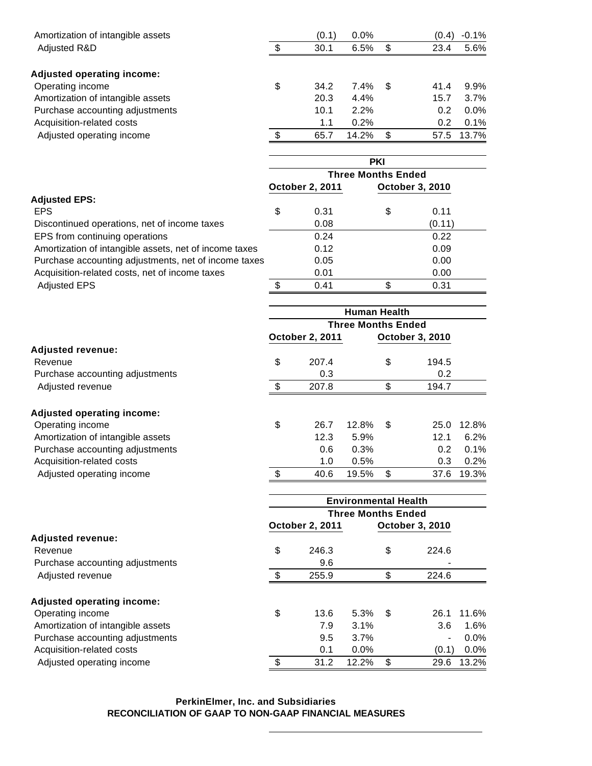Amortization of intangible assets (0.1) 0.0% (0.4) -0.1% Adjusted R&D **\$** 30.1 6.5% \$ 23.4 5.6%

### **Adjusted operating income:**

- Operating income  $\begin{array}{ccccccc} \text{34.2} & \text{7.4\%} & \text{34.3} \\ \text{41.4} & \text{9.9\%} & \text{42.4} \\ \text{51.5} & \text{61.4} & \text{8.4} \\ \text{62.4} & \text{63.4} & \text{64.4} \\ \text{7.4} & \text{8.4} & \text{8.4} \\ \text{8.4} & \text{8.4} & \text{8.4} \\ \text{9.4} & \text{9.4} & \text{8.4} \\ \text{10.4} & \text{9.4$ Amortization of intangible assets 20.3 4.4% 15.7 3.7% Purchase accounting adjustments 10.1 2.2% 0.2 0.0% Acquisition-related costs 6.1% and the costs of the costs of the costs of the costs of the costs of the costs of the costs of the costs of the costs of the costs of the costs of the costs of the costs of the costs of the c
- Adjusted operating income  $\frac{1}{2}$  65.7 14.2% \$ 57.5 13.7%

| <b>Adjusted EPS:</b>                         |      |        |
|----------------------------------------------|------|--------|
| EPS                                          | 0.31 | 0.11   |
| Discontinued operations, net of income taxes | 0.08 | (0.11) |
|                                              |      |        |

EPS from continuing operations 0.24 0.22

Amortization of intangible assets, net of income taxes 0.12 0.09 Purchase accounting adjustments, net of income taxes 0.05 0.00

| Acquisition-related costs, net of income taxes |                           | 0.01            |                     | 0.00                   |  |  |  |
|------------------------------------------------|---------------------------|-----------------|---------------------|------------------------|--|--|--|
| <b>Adjusted EPS</b>                            | \$.                       | 0.41            |                     | 0.31                   |  |  |  |
|                                                |                           |                 |                     |                        |  |  |  |
|                                                |                           |                 | <b>Human Health</b> |                        |  |  |  |
|                                                | <b>Three Months Ended</b> |                 |                     |                        |  |  |  |
|                                                |                           | October 2, 2011 |                     | <b>October 3, 2010</b> |  |  |  |
| <b>Adjusted revenue:</b>                       |                           |                 |                     |                        |  |  |  |
| Revenue                                        | \$                        | 207.4           | \$                  | 194.5                  |  |  |  |
| Purchase accounting adjustments                |                           | 0.3             |                     | 0.2                    |  |  |  |
| Adjusted revenue                               | \$                        | 207.8           | \$                  | 194.7                  |  |  |  |

**PKI Three Months Ended**

**October 2, 2011 October 3, 2010**

#### **Adjusted operating income:**

| Operating income                  | 26.7 | $12.8\%$ \$ |    |      | 25.0 12.8% |
|-----------------------------------|------|-------------|----|------|------------|
| Amortization of intangible assets | 12.3 | 5.9%        |    | 12.1 | $6.2\%$    |
| Purchase accounting adjustments   | 0.6  | 0.3%        |    | 0.2  | $0.1\%$    |
| Acquisition-related costs         | 1.0  | 0.5%        |    | 0.3  | $0.2\%$    |
| Adjusted operating income         | 40.6 | 19.5%       | S. |      | 37.6 19.3% |

|                                   | <b>Environmental Health</b> |         |                           |                 |         |  |
|-----------------------------------|-----------------------------|---------|---------------------------|-----------------|---------|--|
|                                   |                             |         | <b>Three Months Ended</b> |                 |         |  |
|                                   | October 2, 2011             |         |                           | October 3, 2010 |         |  |
| <b>Adjusted revenue:</b>          |                             |         |                           |                 |         |  |
| Revenue                           | \$<br>246.3                 |         | \$                        | 224.6           |         |  |
| Purchase accounting adjustments   | 9.6                         |         |                           |                 |         |  |
| Adjusted revenue                  | \$<br>255.9                 |         | \$                        | 224.6           |         |  |
| <b>Adjusted operating income:</b> |                             |         |                           |                 |         |  |
| Operating income                  | \$<br>13.6                  | $5.3\%$ | - \$                      | 26.1            | 11.6%   |  |
| Amortization of intangible assets | 7.9                         | 3.1%    |                           | 3.6             | 1.6%    |  |
| Purchase accounting adjustments   | 9.5                         | 3.7%    |                           | $\blacksquare$  | $0.0\%$ |  |
| Acquisition-related costs         | 0.1                         | 0.0%    |                           | (0.1)           | $0.0\%$ |  |
| Adjusted operating income         | \$<br>31.2                  | 12.2%   | \$                        | 29.6            | 13.2%   |  |

## **PerkinElmer, Inc. and Subsidiaries RECONCILIATION OF GAAP TO NON-GAAP FINANCIAL MEASURES**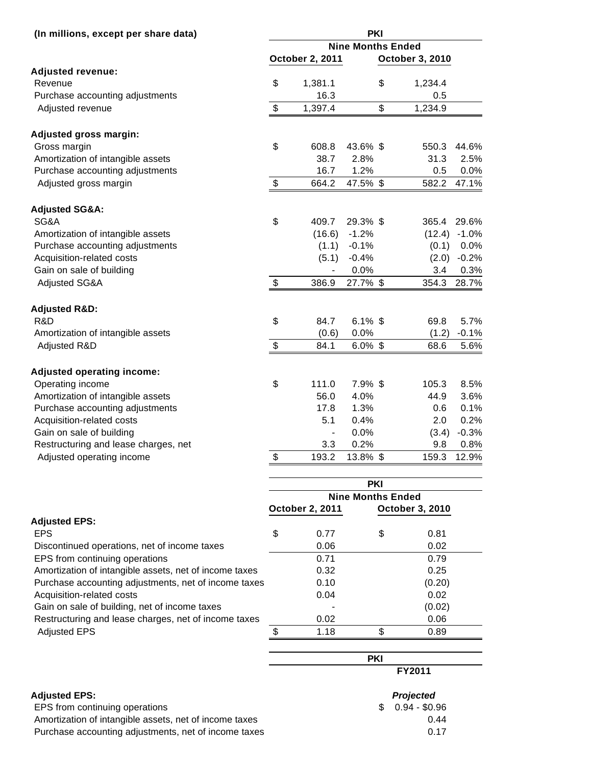| <b>PKI</b><br>(In millions, except per share data) |                           |                          |            |    |                 |         |  |  |
|----------------------------------------------------|---------------------------|--------------------------|------------|----|-----------------|---------|--|--|
|                                                    | <b>Nine Months Ended</b>  |                          |            |    |                 |         |  |  |
|                                                    |                           | October 2, 2011          |            |    | October 3, 2010 |         |  |  |
| <b>Adjusted revenue:</b>                           |                           |                          |            |    |                 |         |  |  |
| Revenue                                            | \$                        | 1,381.1                  |            | \$ | 1,234.4         |         |  |  |
| Purchase accounting adjustments                    |                           | 16.3                     |            |    | 0.5             |         |  |  |
| Adjusted revenue                                   | $\boldsymbol{\$}$         | 1,397.4                  |            | \$ | 1,234.9         |         |  |  |
| <b>Adjusted gross margin:</b>                      |                           |                          |            |    |                 |         |  |  |
| Gross margin                                       | \$                        | 608.8                    | 43.6% \$   |    | 550.3           | 44.6%   |  |  |
| Amortization of intangible assets                  |                           | 38.7                     | 2.8%       |    | 31.3            | 2.5%    |  |  |
| Purchase accounting adjustments                    |                           | 16.7                     | 1.2%       |    | 0.5             | 0.0%    |  |  |
| Adjusted gross margin                              | $\boldsymbol{\$}$         | 664.2                    | 47.5% \$   |    | 582.2           | 47.1%   |  |  |
| <b>Adjusted SG&amp;A:</b>                          |                           |                          |            |    |                 |         |  |  |
| SG&A                                               | \$                        | 409.7                    | 29.3% \$   |    | 365.4           | 29.6%   |  |  |
| Amortization of intangible assets                  |                           | (16.6)                   | $-1.2%$    |    | (12.4)          | $-1.0%$ |  |  |
| Purchase accounting adjustments                    |                           | (1.1)                    | $-0.1%$    |    | (0.1)           | 0.0%    |  |  |
| Acquisition-related costs                          |                           | (5.1)                    | $-0.4%$    |    | (2.0)           | $-0.2%$ |  |  |
| Gain on sale of building                           |                           | $\overline{\phantom{a}}$ | 0.0%       |    | 3.4             | 0.3%    |  |  |
| <b>Adjusted SG&amp;A</b>                           | $\frac{1}{2}$             | 386.9                    | 27.7% \$   |    | 354.3           | 28.7%   |  |  |
| <b>Adjusted R&amp;D:</b>                           |                           |                          |            |    |                 |         |  |  |
| R&D                                                | \$                        | 84.7                     | $6.1\%$ \$ |    | 69.8            | 5.7%    |  |  |
| Amortization of intangible assets                  |                           | (0.6)                    | 0.0%       |    | (1.2)           | $-0.1%$ |  |  |
| Adjusted R&D                                       | $\boldsymbol{\mathsf{S}}$ | 84.1                     | $6.0\%$ \$ |    | 68.6            | 5.6%    |  |  |
| <b>Adjusted operating income:</b>                  |                           |                          |            |    |                 |         |  |  |
| Operating income                                   | \$                        | 111.0                    | 7.9% \$    |    | 105.3           | 8.5%    |  |  |
| Amortization of intangible assets                  |                           | 56.0                     | 4.0%       |    | 44.9            | 3.6%    |  |  |
| Purchase accounting adjustments                    |                           | 17.8                     | 1.3%       |    | 0.6             | 0.1%    |  |  |
| Acquisition-related costs                          |                           | 5.1                      | 0.4%       |    | 2.0             | 0.2%    |  |  |
| Gain on sale of building                           |                           |                          | 0.0%       |    | (3.4)           | $-0.3%$ |  |  |
| Restructuring and lease charges, net               |                           | 3.3                      | 0.2%       |    | 9.8             | 0.8%    |  |  |
| Adjusted operating income                          | $\boldsymbol{\mathsf{S}}$ | 193.2                    | 13.8% \$   |    | 159.3           | 12.9%   |  |  |

|    | <b>Nine Months Ended</b>                             |                 |                 |
|----|------------------------------------------------------|-----------------|-----------------|
|    |                                                      |                 | October 3, 2010 |
|    |                                                      |                 |                 |
| \$ | 0.77                                                 | \$              | 0.81            |
|    | 0.06                                                 |                 | 0.02            |
|    | 0.71                                                 |                 | 0.79            |
|    | 0.32                                                 |                 | 0.25            |
|    | 0.10                                                 |                 | (0.20)          |
|    | 0.04                                                 |                 | 0.02            |
|    |                                                      |                 | (0.02)          |
|    | 0.02                                                 |                 | 0.06            |
| ደ  | 1.18                                                 | \$              | 0.89            |
|    |                                                      | <b>PKI</b>      |                 |
|    |                                                      |                 | <b>FY2011</b>   |
|    | Purchase accounting adjustments, net of income taxes | October 2, 2011 | <b>PKI</b>      |

| <b>Adjusted EPS:</b>                                   | Projected       |
|--------------------------------------------------------|-----------------|
| EPS from continuing operations                         | $$0.94 - $0.96$ |
| Amortization of intangible assets, net of income taxes | 0.44            |
| Purchase accounting adjustments, net of income taxes   | 0.17            |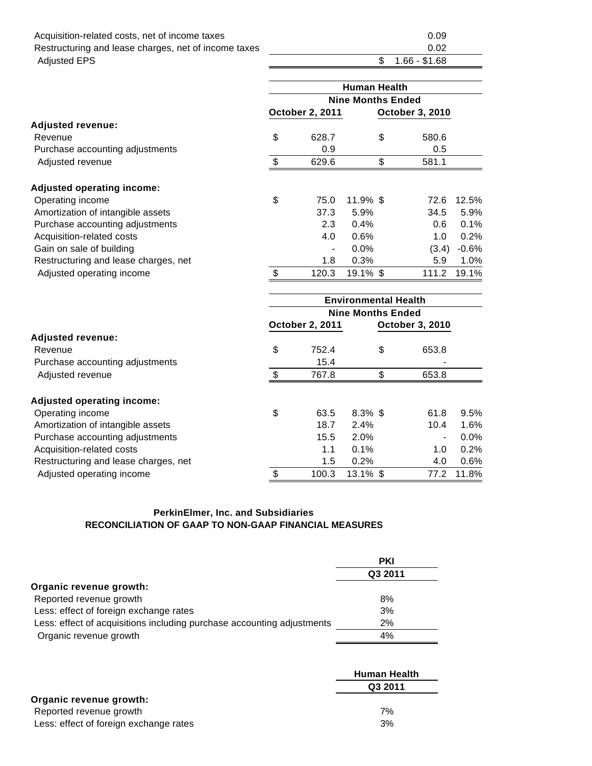| Acquisition-related costs, net of income taxes       | 0.09            |  |
|------------------------------------------------------|-----------------|--|
| Restructuring and lease charges, net of income taxes | 0.02            |  |
| Adjusted EPS                                         | $$1.66 - $1.68$ |  |

|                                      |                           |                 | <b>Human Health</b>         |    |                 |         |
|--------------------------------------|---------------------------|-----------------|-----------------------------|----|-----------------|---------|
|                                      | <b>Nine Months Ended</b>  |                 |                             |    |                 |         |
|                                      |                           | October 2, 2011 |                             |    | October 3, 2010 |         |
| <b>Adjusted revenue:</b>             |                           |                 |                             |    |                 |         |
| Revenue                              | \$                        | 628.7           |                             | \$ | 580.6           |         |
| Purchase accounting adjustments      |                           | 0.9             |                             |    | 0.5             |         |
| Adjusted revenue                     | \$                        | 629.6           |                             | \$ | 581.1           |         |
| <b>Adjusted operating income:</b>    |                           |                 |                             |    |                 |         |
| Operating income                     | \$                        | 75.0            | 11.9% \$                    |    | 72.6            | 12.5%   |
| Amortization of intangible assets    |                           | 37.3            | 5.9%                        |    | 34.5            | 5.9%    |
| Purchase accounting adjustments      |                           | 2.3             | 0.4%                        |    | 0.6             | 0.1%    |
| Acquisition-related costs            |                           | 4.0             | 0.6%                        |    | 1.0             | 0.2%    |
| Gain on sale of building             |                           |                 | 0.0%                        |    | (3.4)           | $-0.6%$ |
| Restructuring and lease charges, net |                           | 1.8             | 0.3%                        |    | 5.9             | 1.0%    |
| Adjusted operating income            | $\boldsymbol{\mathsf{S}}$ | 120.3           | 19.1% \$                    |    | 111.2           | 19.1%   |
|                                      |                           |                 | <b>Environmental Health</b> |    |                 |         |
|                                      |                           |                 | <b>Nine Months Ended</b>    |    |                 |         |
|                                      |                           | October 2, 2011 |                             |    | October 3, 2010 |         |
| <b>Adjusted revenue:</b>             |                           |                 |                             |    |                 |         |
| Revenue                              | \$                        | 752.4           |                             | \$ | 653.8           |         |
| Purchase accounting adjustments      |                           | 15.4            |                             |    |                 |         |
| Adjusted revenue                     | \$                        | 767.8           |                             | \$ | 653.8           |         |
| <b>Adjusted operating income:</b>    |                           |                 |                             |    |                 |         |
| Operating income                     | \$                        | 63.5            | $8.3\%$ \$                  |    | 61.8            | 9.5%    |
| Amortization of intangible assets    |                           | 18.7            | 2.4%                        |    | 10.4            | 1.6%    |
| Purchase accounting adjustments      |                           | 15.5            | 2.0%                        |    |                 | $0.0\%$ |
| Acquisition-related costs            |                           | 1.1             | 0.1%                        |    | 1.0             | 0.2%    |

# **PerkinElmer, Inc. and Subsidiaries RECONCILIATION OF GAAP TO NON-GAAP FINANCIAL MEASURES**

Restructuring and lease charges, net 1.5 0.2% 4.0 0.6% Adjusted operating income  $\frac{1}{3}$  100.3 13.1% \$ 77.2 11.8%

|                                                                        | <b>PKI</b> |
|------------------------------------------------------------------------|------------|
|                                                                        | Q3 2011    |
| Organic revenue growth:                                                |            |
| Reported revenue growth                                                | 8%         |
| Less: effect of foreign exchange rates                                 | 3%         |
| Less: effect of acquisitions including purchase accounting adjustments | 2%         |
| Organic revenue growth                                                 | 4%         |

|                                        | <b>Human Health</b> |
|----------------------------------------|---------------------|
|                                        | Q3 2011             |
| Organic revenue growth:                |                     |
| Reported revenue growth                | 7%                  |
| Less: effect of foreign exchange rates | 3%                  |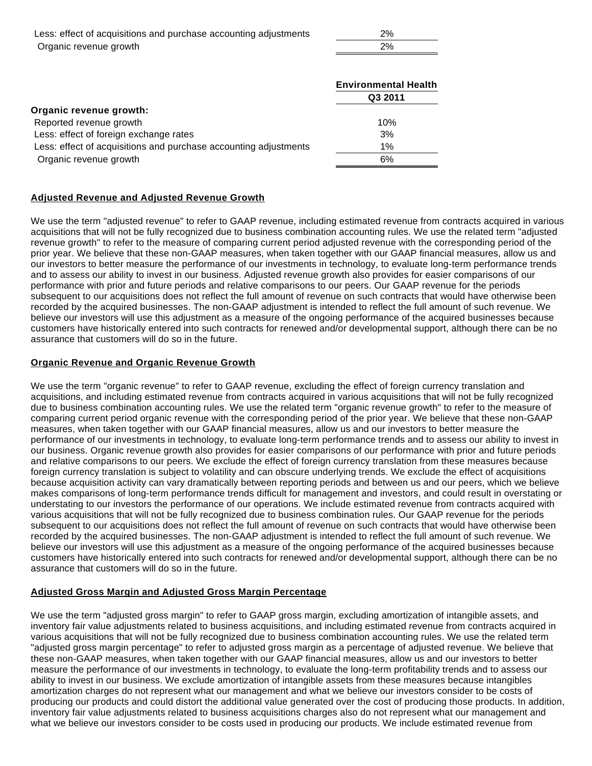| Less: effect of acquisitions and purchase accounting adjustments | 2% |
|------------------------------------------------------------------|----|
| Organic revenue growth                                           | 2% |

|                                                                  | <b>Environmental Health</b> |
|------------------------------------------------------------------|-----------------------------|
|                                                                  | Q3 2011                     |
| Organic revenue growth:                                          |                             |
| Reported revenue growth                                          | 10%                         |
| Less: effect of foreign exchange rates                           | 3%                          |
| Less: effect of acquisitions and purchase accounting adjustments | $1\%$                       |
| Organic revenue growth                                           | 6%                          |

### **Adjusted Revenue and Adjusted Revenue Growth**

We use the term "adjusted revenue" to refer to GAAP revenue, including estimated revenue from contracts acquired in various acquisitions that will not be fully recognized due to business combination accounting rules. We use the related term "adjusted revenue growth" to refer to the measure of comparing current period adjusted revenue with the corresponding period of the prior year. We believe that these non-GAAP measures, when taken together with our GAAP financial measures, allow us and our investors to better measure the performance of our investments in technology, to evaluate long-term performance trends and to assess our ability to invest in our business. Adjusted revenue growth also provides for easier comparisons of our performance with prior and future periods and relative comparisons to our peers. Our GAAP revenue for the periods subsequent to our acquisitions does not reflect the full amount of revenue on such contracts that would have otherwise been recorded by the acquired businesses. The non-GAAP adjustment is intended to reflect the full amount of such revenue. We believe our investors will use this adjustment as a measure of the ongoing performance of the acquired businesses because customers have historically entered into such contracts for renewed and/or developmental support, although there can be no assurance that customers will do so in the future.

#### **Organic Revenue and Organic Revenue Growth**

We use the term "organic revenue" to refer to GAAP revenue, excluding the effect of foreign currency translation and acquisitions, and including estimated revenue from contracts acquired in various acquisitions that will not be fully recognized due to business combination accounting rules. We use the related term "organic revenue growth" to refer to the measure of comparing current period organic revenue with the corresponding period of the prior year. We believe that these non-GAAP measures, when taken together with our GAAP financial measures, allow us and our investors to better measure the performance of our investments in technology, to evaluate long-term performance trends and to assess our ability to invest in our business. Organic revenue growth also provides for easier comparisons of our performance with prior and future periods and relative comparisons to our peers. We exclude the effect of foreign currency translation from these measures because foreign currency translation is subject to volatility and can obscure underlying trends. We exclude the effect of acquisitions because acquisition activity can vary dramatically between reporting periods and between us and our peers, which we believe makes comparisons of long-term performance trends difficult for management and investors, and could result in overstating or understating to our investors the performance of our operations. We include estimated revenue from contracts acquired with various acquisitions that will not be fully recognized due to business combination rules. Our GAAP revenue for the periods subsequent to our acquisitions does not reflect the full amount of revenue on such contracts that would have otherwise been recorded by the acquired businesses. The non-GAAP adjustment is intended to reflect the full amount of such revenue. We believe our investors will use this adjustment as a measure of the ongoing performance of the acquired businesses because customers have historically entered into such contracts for renewed and/or developmental support, although there can be no assurance that customers will do so in the future.

### **Adjusted Gross Margin and Adjusted Gross Margin Percentage**

We use the term "adjusted gross margin" to refer to GAAP gross margin, excluding amortization of intangible assets, and inventory fair value adjustments related to business acquisitions, and including estimated revenue from contracts acquired in various acquisitions that will not be fully recognized due to business combination accounting rules. We use the related term "adjusted gross margin percentage" to refer to adjusted gross margin as a percentage of adjusted revenue. We believe that these non-GAAP measures, when taken together with our GAAP financial measures, allow us and our investors to better measure the performance of our investments in technology, to evaluate the long-term profitability trends and to assess our ability to invest in our business. We exclude amortization of intangible assets from these measures because intangibles amortization charges do not represent what our management and what we believe our investors consider to be costs of producing our products and could distort the additional value generated over the cost of producing those products. In addition, inventory fair value adjustments related to business acquisitions charges also do not represent what our management and what we believe our investors consider to be costs used in producing our products. We include estimated revenue from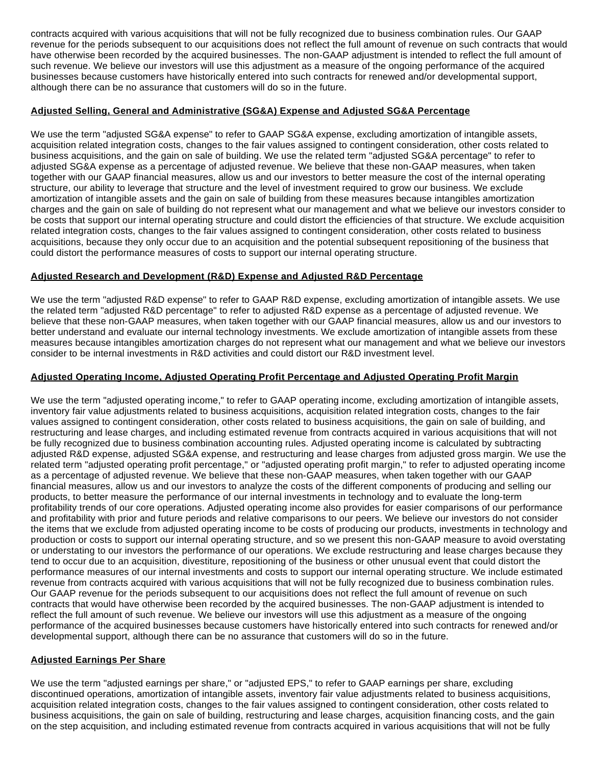contracts acquired with various acquisitions that will not be fully recognized due to business combination rules. Our GAAP revenue for the periods subsequent to our acquisitions does not reflect the full amount of revenue on such contracts that would have otherwise been recorded by the acquired businesses. The non-GAAP adjustment is intended to reflect the full amount of such revenue. We believe our investors will use this adjustment as a measure of the ongoing performance of the acquired businesses because customers have historically entered into such contracts for renewed and/or developmental support, although there can be no assurance that customers will do so in the future.

### **Adjusted Selling, General and Administrative (SG&A) Expense and Adjusted SG&A Percentage**

We use the term "adjusted SG&A expense" to refer to GAAP SG&A expense, excluding amortization of intangible assets, acquisition related integration costs, changes to the fair values assigned to contingent consideration, other costs related to business acquisitions, and the gain on sale of building. We use the related term "adjusted SG&A percentage" to refer to adjusted SG&A expense as a percentage of adjusted revenue. We believe that these non-GAAP measures, when taken together with our GAAP financial measures, allow us and our investors to better measure the cost of the internal operating structure, our ability to leverage that structure and the level of investment required to grow our business. We exclude amortization of intangible assets and the gain on sale of building from these measures because intangibles amortization charges and the gain on sale of building do not represent what our management and what we believe our investors consider to be costs that support our internal operating structure and could distort the efficiencies of that structure. We exclude acquisition related integration costs, changes to the fair values assigned to contingent consideration, other costs related to business acquisitions, because they only occur due to an acquisition and the potential subsequent repositioning of the business that could distort the performance measures of costs to support our internal operating structure.

## **Adjusted Research and Development (R&D) Expense and Adjusted R&D Percentage**

We use the term "adjusted R&D expense" to refer to GAAP R&D expense, excluding amortization of intangible assets. We use the related term "adjusted R&D percentage" to refer to adjusted R&D expense as a percentage of adjusted revenue. We believe that these non-GAAP measures, when taken together with our GAAP financial measures, allow us and our investors to better understand and evaluate our internal technology investments. We exclude amortization of intangible assets from these measures because intangibles amortization charges do not represent what our management and what we believe our investors consider to be internal investments in R&D activities and could distort our R&D investment level.

### **Adjusted Operating Income, Adjusted Operating Profit Percentage and Adjusted Operating Profit Margin**

We use the term "adjusted operating income," to refer to GAAP operating income, excluding amortization of intangible assets, inventory fair value adjustments related to business acquisitions, acquisition related integration costs, changes to the fair values assigned to contingent consideration, other costs related to business acquisitions, the gain on sale of building, and restructuring and lease charges, and including estimated revenue from contracts acquired in various acquisitions that will not be fully recognized due to business combination accounting rules. Adjusted operating income is calculated by subtracting adjusted R&D expense, adjusted SG&A expense, and restructuring and lease charges from adjusted gross margin. We use the related term "adjusted operating profit percentage," or "adjusted operating profit margin," to refer to adjusted operating income as a percentage of adjusted revenue. We believe that these non-GAAP measures, when taken together with our GAAP financial measures, allow us and our investors to analyze the costs of the different components of producing and selling our products, to better measure the performance of our internal investments in technology and to evaluate the long-term profitability trends of our core operations. Adjusted operating income also provides for easier comparisons of our performance and profitability with prior and future periods and relative comparisons to our peers. We believe our investors do not consider the items that we exclude from adjusted operating income to be costs of producing our products, investments in technology and production or costs to support our internal operating structure, and so we present this non-GAAP measure to avoid overstating or understating to our investors the performance of our operations. We exclude restructuring and lease charges because they tend to occur due to an acquisition, divestiture, repositioning of the business or other unusual event that could distort the performance measures of our internal investments and costs to support our internal operating structure. We include estimated revenue from contracts acquired with various acquisitions that will not be fully recognized due to business combination rules. Our GAAP revenue for the periods subsequent to our acquisitions does not reflect the full amount of revenue on such contracts that would have otherwise been recorded by the acquired businesses. The non-GAAP adjustment is intended to reflect the full amount of such revenue. We believe our investors will use this adjustment as a measure of the ongoing performance of the acquired businesses because customers have historically entered into such contracts for renewed and/or developmental support, although there can be no assurance that customers will do so in the future.

### **Adjusted Earnings Per Share**

We use the term "adjusted earnings per share," or "adjusted EPS," to refer to GAAP earnings per share, excluding discontinued operations, amortization of intangible assets, inventory fair value adjustments related to business acquisitions, acquisition related integration costs, changes to the fair values assigned to contingent consideration, other costs related to business acquisitions, the gain on sale of building, restructuring and lease charges, acquisition financing costs, and the gain on the step acquisition, and including estimated revenue from contracts acquired in various acquisitions that will not be fully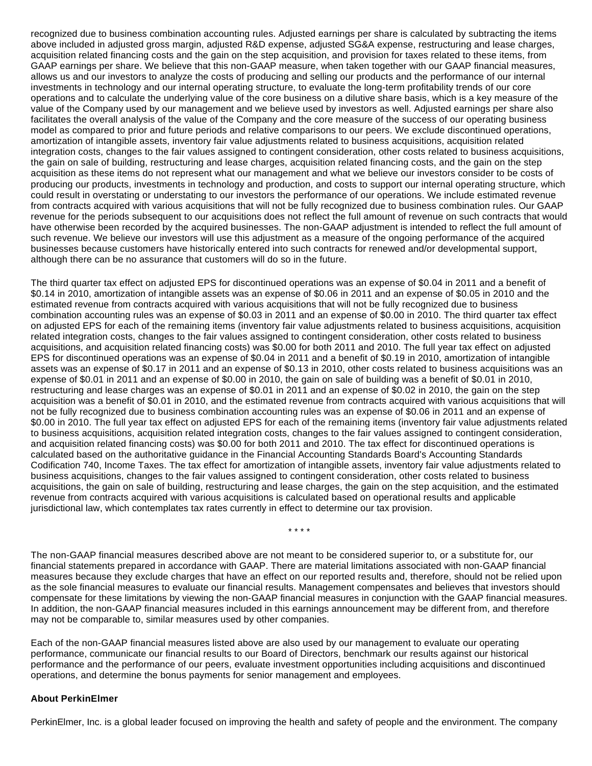recognized due to business combination accounting rules. Adjusted earnings per share is calculated by subtracting the items above included in adjusted gross margin, adjusted R&D expense, adjusted SG&A expense, restructuring and lease charges, acquisition related financing costs and the gain on the step acquisition, and provision for taxes related to these items, from GAAP earnings per share. We believe that this non-GAAP measure, when taken together with our GAAP financial measures, allows us and our investors to analyze the costs of producing and selling our products and the performance of our internal investments in technology and our internal operating structure, to evaluate the long-term profitability trends of our core operations and to calculate the underlying value of the core business on a dilutive share basis, which is a key measure of the value of the Company used by our management and we believe used by investors as well. Adjusted earnings per share also facilitates the overall analysis of the value of the Company and the core measure of the success of our operating business model as compared to prior and future periods and relative comparisons to our peers. We exclude discontinued operations, amortization of intangible assets, inventory fair value adjustments related to business acquisitions, acquisition related integration costs, changes to the fair values assigned to contingent consideration, other costs related to business acquisitions, the gain on sale of building, restructuring and lease charges, acquisition related financing costs, and the gain on the step acquisition as these items do not represent what our management and what we believe our investors consider to be costs of producing our products, investments in technology and production, and costs to support our internal operating structure, which could result in overstating or understating to our investors the performance of our operations. We include estimated revenue from contracts acquired with various acquisitions that will not be fully recognized due to business combination rules. Our GAAP revenue for the periods subsequent to our acquisitions does not reflect the full amount of revenue on such contracts that would have otherwise been recorded by the acquired businesses. The non-GAAP adjustment is intended to reflect the full amount of such revenue. We believe our investors will use this adjustment as a measure of the ongoing performance of the acquired businesses because customers have historically entered into such contracts for renewed and/or developmental support, although there can be no assurance that customers will do so in the future.

The third quarter tax effect on adjusted EPS for discontinued operations was an expense of \$0.04 in 2011 and a benefit of \$0.14 in 2010, amortization of intangible assets was an expense of \$0.06 in 2011 and an expense of \$0.05 in 2010 and the estimated revenue from contracts acquired with various acquisitions that will not be fully recognized due to business combination accounting rules was an expense of \$0.03 in 2011 and an expense of \$0.00 in 2010. The third quarter tax effect on adjusted EPS for each of the remaining items (inventory fair value adjustments related to business acquisitions, acquisition related integration costs, changes to the fair values assigned to contingent consideration, other costs related to business acquisitions, and acquisition related financing costs) was \$0.00 for both 2011 and 2010. The full year tax effect on adjusted EPS for discontinued operations was an expense of \$0.04 in 2011 and a benefit of \$0.19 in 2010, amortization of intangible assets was an expense of \$0.17 in 2011 and an expense of \$0.13 in 2010, other costs related to business acquisitions was an expense of \$0.01 in 2011 and an expense of \$0.00 in 2010, the gain on sale of building was a benefit of \$0.01 in 2010, restructuring and lease charges was an expense of \$0.01 in 2011 and an expense of \$0.02 in 2010, the gain on the step acquisition was a benefit of \$0.01 in 2010, and the estimated revenue from contracts acquired with various acquisitions that will not be fully recognized due to business combination accounting rules was an expense of \$0.06 in 2011 and an expense of \$0.00 in 2010. The full year tax effect on adjusted EPS for each of the remaining items (inventory fair value adjustments related to business acquisitions, acquisition related integration costs, changes to the fair values assigned to contingent consideration, and acquisition related financing costs) was \$0.00 for both 2011 and 2010. The tax effect for discontinued operations is calculated based on the authoritative guidance in the Financial Accounting Standards Board's Accounting Standards Codification 740, Income Taxes. The tax effect for amortization of intangible assets, inventory fair value adjustments related to business acquisitions, changes to the fair values assigned to contingent consideration, other costs related to business acquisitions, the gain on sale of building, restructuring and lease charges, the gain on the step acquisition, and the estimated revenue from contracts acquired with various acquisitions is calculated based on operational results and applicable jurisdictional law, which contemplates tax rates currently in effect to determine our tax provision.

\* \* \* \*

The non-GAAP financial measures described above are not meant to be considered superior to, or a substitute for, our financial statements prepared in accordance with GAAP. There are material limitations associated with non-GAAP financial measures because they exclude charges that have an effect on our reported results and, therefore, should not be relied upon as the sole financial measures to evaluate our financial results. Management compensates and believes that investors should compensate for these limitations by viewing the non-GAAP financial measures in conjunction with the GAAP financial measures. In addition, the non-GAAP financial measures included in this earnings announcement may be different from, and therefore may not be comparable to, similar measures used by other companies.

Each of the non-GAAP financial measures listed above are also used by our management to evaluate our operating performance, communicate our financial results to our Board of Directors, benchmark our results against our historical performance and the performance of our peers, evaluate investment opportunities including acquisitions and discontinued operations, and determine the bonus payments for senior management and employees.

#### **About PerkinElmer**

PerkinElmer, Inc. is a global leader focused on improving the health and safety of people and the environment. The company